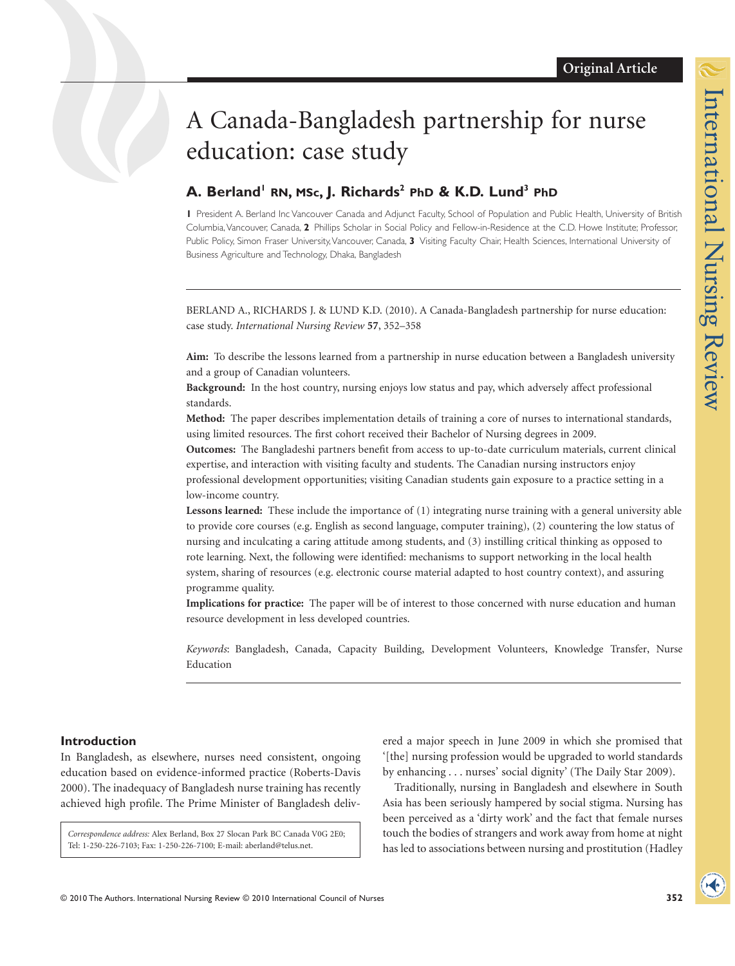# A Canada-Bangladesh partnership for nurse education: case study

## **A. Berland1 RN, MSc, J. Richards2 PhD & K.D. Lund3 PhD**

**1** President A. Berland Inc Vancouver Canada and Adjunct Faculty, School of Population and Public Health, University of British Columbia,Vancouver, Canada, **2** Phillips Scholar in Social Policy and Fellow-in-Residence at the C.D. Howe Institute; Professor, Public Policy, Simon Fraser University,Vancouver, Canada, **3** Visiting Faculty Chair, Health Sciences, International University of Business Agriculture and Technology, Dhaka, Bangladesh

BERLAND A., RICHARDS J. & LUND K.D. (2010). A Canada-Bangladesh partnership for nurse education: case study. *International Nursing Review* **57**, 352–358

**Aim:** To describe the lessons learned from a partnership in nurse education between a Bangladesh university and a group of Canadian volunteers.

**Background:** In the host country, nursing enjoys low status and pay, which adversely affect professional standards.

**Method:** The paper describes implementation details of training a core of nurses to international standards, using limited resources. The first cohort received their Bachelor of Nursing degrees in 2009.

**Outcomes:** The Bangladeshi partners benefit from access to up-to-date curriculum materials, current clinical expertise, and interaction with visiting faculty and students. The Canadian nursing instructors enjoy professional development opportunities; visiting Canadian students gain exposure to a practice setting in a low-income country.

**Lessons learned:** These include the importance of (1) integrating nurse training with a general university able to provide core courses (e.g. English as second language, computer training), (2) countering the low status of nursing and inculcating a caring attitude among students, and (3) instilling critical thinking as opposed to rote learning. Next, the following were identified: mechanisms to support networking in the local health system, sharing of resources (e.g. electronic course material adapted to host country context), and assuring programme quality.

**Implications for practice:** The paper will be of interest to those concerned with nurse education and human resource development in less developed countries.

*Keywords*: Bangladesh, Canada, Capacity Building, Development Volunteers, Knowledge Transfer, Nurse Education

## **Introduction**

In Bangladesh, as elsewhere, nurses need consistent, ongoing education based on evidence-informed practice (Roberts-Davis 2000). The inadequacy of Bangladesh nurse training has recently achieved high profile. The Prime Minister of Bangladesh deliv-

*Correspondence address:* Alex Berland, Box 27 Slocan Park BC Canada V0G 2E0; Tel: 1-250-226-7103; Fax: 1-250-226-7100; E-mail: aberland@telus.net.

ered a major speech in June 2009 in which she promised that '[the] nursing profession would be upgraded to world standards by enhancing . . . nurses' social dignity' (The Daily Star 2009).

Traditionally, nursing in Bangladesh and elsewhere in South Asia has been seriously hampered by social stigma. Nursing has been perceived as a 'dirty work' and the fact that female nurses touch the bodies of strangers and work away from home at night has led to associations between nursing and prostitution (Hadley

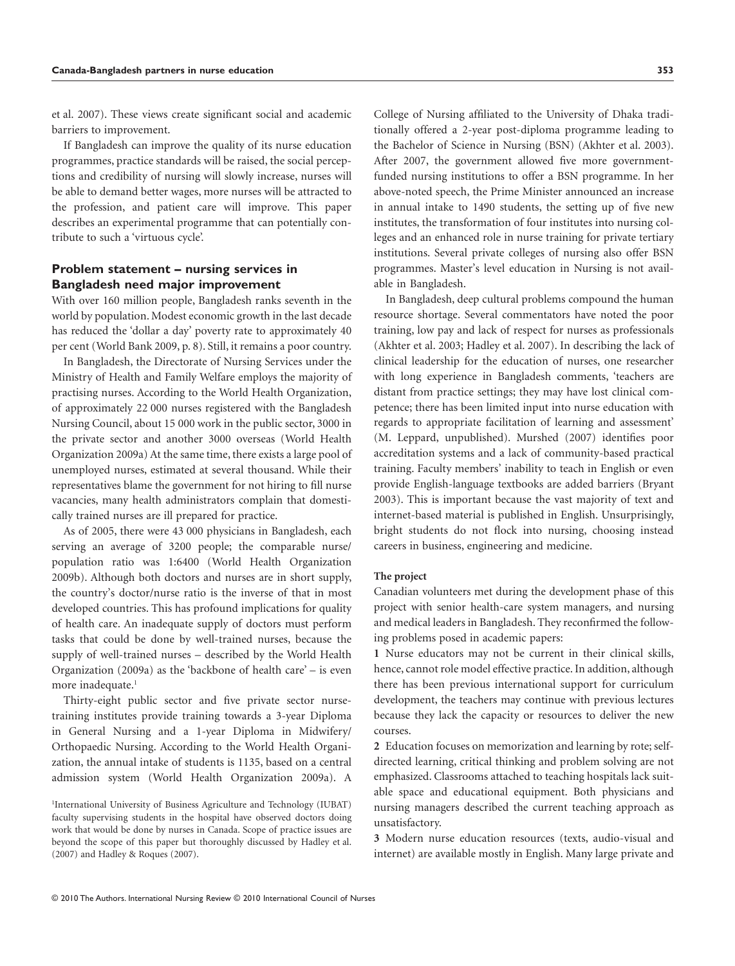et al. 2007). These views create significant social and academic barriers to improvement.

If Bangladesh can improve the quality of its nurse education programmes, practice standards will be raised, the social perceptions and credibility of nursing will slowly increase, nurses will be able to demand better wages, more nurses will be attracted to the profession, and patient care will improve. This paper describes an experimental programme that can potentially contribute to such a 'virtuous cycle'.

## **Problem statement – nursing services in Bangladesh need major improvement**

With over 160 million people, Bangladesh ranks seventh in the world by population. Modest economic growth in the last decade has reduced the 'dollar a day' poverty rate to approximately 40 per cent (World Bank 2009, p. 8). Still, it remains a poor country.

In Bangladesh, the Directorate of Nursing Services under the Ministry of Health and Family Welfare employs the majority of practising nurses. According to the World Health Organization, of approximately 22 000 nurses registered with the Bangladesh Nursing Council, about 15 000 work in the public sector, 3000 in the private sector and another 3000 overseas (World Health Organization 2009a) At the same time, there exists a large pool of unemployed nurses, estimated at several thousand. While their representatives blame the government for not hiring to fill nurse vacancies, many health administrators complain that domestically trained nurses are ill prepared for practice.

As of 2005, there were 43 000 physicians in Bangladesh, each serving an average of 3200 people; the comparable nurse/ population ratio was 1:6400 (World Health Organization 2009b). Although both doctors and nurses are in short supply, the country's doctor/nurse ratio is the inverse of that in most developed countries. This has profound implications for quality of health care. An inadequate supply of doctors must perform tasks that could be done by well-trained nurses, because the supply of well-trained nurses – described by the World Health Organization (2009a) as the 'backbone of health care' – is even more inadequate.<sup>1</sup>

Thirty-eight public sector and five private sector nursetraining institutes provide training towards a 3-year Diploma in General Nursing and a 1-year Diploma in Midwifery/ Orthopaedic Nursing. According to the World Health Organization, the annual intake of students is 1135, based on a central admission system (World Health Organization 2009a). A

College of Nursing affiliated to the University of Dhaka traditionally offered a 2-year post-diploma programme leading to the Bachelor of Science in Nursing (BSN) (Akhter et al. 2003). After 2007, the government allowed five more governmentfunded nursing institutions to offer a BSN programme. In her above-noted speech, the Prime Minister announced an increase in annual intake to 1490 students, the setting up of five new institutes, the transformation of four institutes into nursing colleges and an enhanced role in nurse training for private tertiary institutions. Several private colleges of nursing also offer BSN programmes. Master's level education in Nursing is not available in Bangladesh.

In Bangladesh, deep cultural problems compound the human resource shortage. Several commentators have noted the poor training, low pay and lack of respect for nurses as professionals (Akhter et al. 2003; Hadley et al. 2007). In describing the lack of clinical leadership for the education of nurses, one researcher with long experience in Bangladesh comments, 'teachers are distant from practice settings; they may have lost clinical competence; there has been limited input into nurse education with regards to appropriate facilitation of learning and assessment' (M. Leppard, unpublished). Murshed (2007) identifies poor accreditation systems and a lack of community-based practical training. Faculty members' inability to teach in English or even provide English-language textbooks are added barriers (Bryant 2003). This is important because the vast majority of text and internet-based material is published in English. Unsurprisingly, bright students do not flock into nursing, choosing instead careers in business, engineering and medicine.

#### **The project**

Canadian volunteers met during the development phase of this project with senior health-care system managers, and nursing and medical leaders in Bangladesh. They reconfirmed the following problems posed in academic papers:

**1** Nurse educators may not be current in their clinical skills, hence, cannot role model effective practice. In addition, although there has been previous international support for curriculum development, the teachers may continue with previous lectures because they lack the capacity or resources to deliver the new courses.

**2** Education focuses on memorization and learning by rote; selfdirected learning, critical thinking and problem solving are not emphasized. Classrooms attached to teaching hospitals lack suitable space and educational equipment. Both physicians and nursing managers described the current teaching approach as unsatisfactory.

**3** Modern nurse education resources (texts, audio-visual and internet) are available mostly in English. Many large private and

<sup>&</sup>lt;sup>1</sup>International University of Business Agriculture and Technology (IUBAT) faculty supervising students in the hospital have observed doctors doing work that would be done by nurses in Canada. Scope of practice issues are beyond the scope of this paper but thoroughly discussed by Hadley et al. (2007) and Hadley & Roques (2007).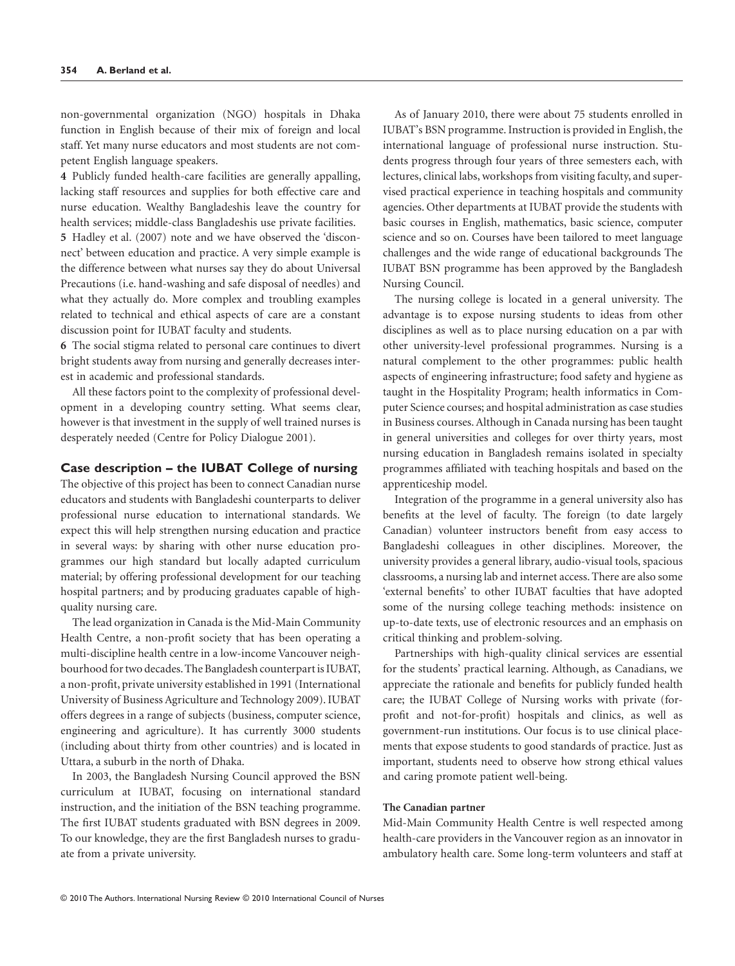non-governmental organization (NGO) hospitals in Dhaka function in English because of their mix of foreign and local staff. Yet many nurse educators and most students are not competent English language speakers.

**4** Publicly funded health-care facilities are generally appalling, lacking staff resources and supplies for both effective care and nurse education. Wealthy Bangladeshis leave the country for health services; middle-class Bangladeshis use private facilities.

**5** Hadley et al. (2007) note and we have observed the 'disconnect' between education and practice. A very simple example is the difference between what nurses say they do about Universal Precautions (i.e. hand-washing and safe disposal of needles) and what they actually do. More complex and troubling examples related to technical and ethical aspects of care are a constant discussion point for IUBAT faculty and students.

**6** The social stigma related to personal care continues to divert bright students away from nursing and generally decreases interest in academic and professional standards.

All these factors point to the complexity of professional development in a developing country setting. What seems clear, however is that investment in the supply of well trained nurses is desperately needed (Centre for Policy Dialogue 2001).

#### **Case description – the IUBAT College of nursing**

The objective of this project has been to connect Canadian nurse educators and students with Bangladeshi counterparts to deliver professional nurse education to international standards. We expect this will help strengthen nursing education and practice in several ways: by sharing with other nurse education programmes our high standard but locally adapted curriculum material; by offering professional development for our teaching hospital partners; and by producing graduates capable of highquality nursing care.

The lead organization in Canada is the Mid-Main Community Health Centre, a non-profit society that has been operating a multi-discipline health centre in a low-income Vancouver neighbourhood for two decades.The Bangladesh counterpart is IUBAT, a non-profit, private university established in 1991 (International University of Business Agriculture and Technology 2009). IUBAT offers degrees in a range of subjects (business, computer science, engineering and agriculture). It has currently 3000 students (including about thirty from other countries) and is located in Uttara, a suburb in the north of Dhaka.

In 2003, the Bangladesh Nursing Council approved the BSN curriculum at IUBAT, focusing on international standard instruction, and the initiation of the BSN teaching programme. The first IUBAT students graduated with BSN degrees in 2009. To our knowledge, they are the first Bangladesh nurses to graduate from a private university.

As of January 2010, there were about 75 students enrolled in IUBAT's BSN programme. Instruction is provided in English, the international language of professional nurse instruction. Students progress through four years of three semesters each, with lectures, clinical labs, workshops from visiting faculty, and supervised practical experience in teaching hospitals and community agencies. Other departments at IUBAT provide the students with basic courses in English, mathematics, basic science, computer science and so on. Courses have been tailored to meet language challenges and the wide range of educational backgrounds The IUBAT BSN programme has been approved by the Bangladesh Nursing Council.

The nursing college is located in a general university. The advantage is to expose nursing students to ideas from other disciplines as well as to place nursing education on a par with other university-level professional programmes. Nursing is a natural complement to the other programmes: public health aspects of engineering infrastructure; food safety and hygiene as taught in the Hospitality Program; health informatics in Computer Science courses; and hospital administration as case studies in Business courses. Although in Canada nursing has been taught in general universities and colleges for over thirty years, most nursing education in Bangladesh remains isolated in specialty programmes affiliated with teaching hospitals and based on the apprenticeship model.

Integration of the programme in a general university also has benefits at the level of faculty. The foreign (to date largely Canadian) volunteer instructors benefit from easy access to Bangladeshi colleagues in other disciplines. Moreover, the university provides a general library, audio-visual tools, spacious classrooms, a nursing lab and internet access. There are also some 'external benefits' to other IUBAT faculties that have adopted some of the nursing college teaching methods: insistence on up-to-date texts, use of electronic resources and an emphasis on critical thinking and problem-solving.

Partnerships with high-quality clinical services are essential for the students' practical learning. Although, as Canadians, we appreciate the rationale and benefits for publicly funded health care; the IUBAT College of Nursing works with private (forprofit and not-for-profit) hospitals and clinics, as well as government-run institutions. Our focus is to use clinical placements that expose students to good standards of practice. Just as important, students need to observe how strong ethical values and caring promote patient well-being.

#### **The Canadian partner**

Mid-Main Community Health Centre is well respected among health-care providers in the Vancouver region as an innovator in ambulatory health care. Some long-term volunteers and staff at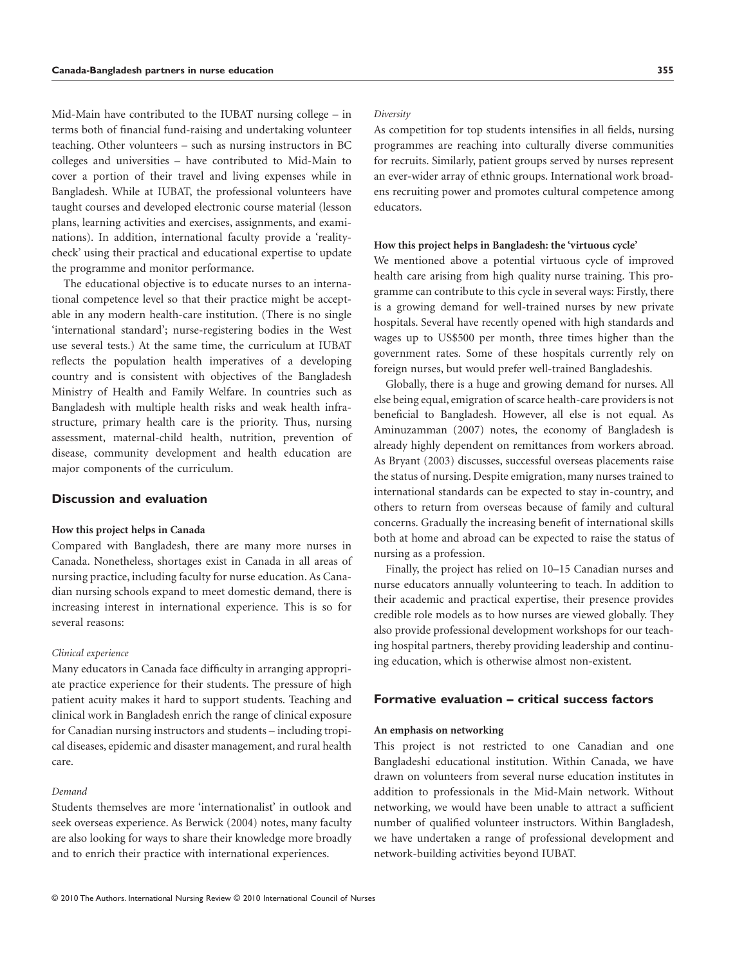Mid-Main have contributed to the IUBAT nursing college – in terms both of financial fund-raising and undertaking volunteer teaching. Other volunteers – such as nursing instructors in BC colleges and universities – have contributed to Mid-Main to cover a portion of their travel and living expenses while in Bangladesh. While at IUBAT, the professional volunteers have taught courses and developed electronic course material (lesson plans, learning activities and exercises, assignments, and examinations). In addition, international faculty provide a 'realitycheck' using their practical and educational expertise to update the programme and monitor performance.

The educational objective is to educate nurses to an international competence level so that their practice might be acceptable in any modern health-care institution. (There is no single 'international standard'; nurse-registering bodies in the West use several tests.) At the same time, the curriculum at IUBAT reflects the population health imperatives of a developing country and is consistent with objectives of the Bangladesh Ministry of Health and Family Welfare. In countries such as Bangladesh with multiple health risks and weak health infrastructure, primary health care is the priority. Thus, nursing assessment, maternal-child health, nutrition, prevention of disease, community development and health education are major components of the curriculum.

#### **Discussion and evaluation**

#### **How this project helps in Canada**

Compared with Bangladesh, there are many more nurses in Canada. Nonetheless, shortages exist in Canada in all areas of nursing practice, including faculty for nurse education. As Canadian nursing schools expand to meet domestic demand, there is increasing interest in international experience. This is so for several reasons:

#### *Clinical experience*

Many educators in Canada face difficulty in arranging appropriate practice experience for their students. The pressure of high patient acuity makes it hard to support students. Teaching and clinical work in Bangladesh enrich the range of clinical exposure for Canadian nursing instructors and students – including tropical diseases, epidemic and disaster management, and rural health care.

#### *Demand*

Students themselves are more 'internationalist' in outlook and seek overseas experience. As Berwick (2004) notes, many faculty are also looking for ways to share their knowledge more broadly and to enrich their practice with international experiences.

#### *Diversity*

As competition for top students intensifies in all fields, nursing programmes are reaching into culturally diverse communities for recruits. Similarly, patient groups served by nurses represent an ever-wider array of ethnic groups. International work broadens recruiting power and promotes cultural competence among educators.

#### **How this project helps in Bangladesh: the 'virtuous cycle'**

We mentioned above a potential virtuous cycle of improved health care arising from high quality nurse training. This programme can contribute to this cycle in several ways: Firstly, there is a growing demand for well-trained nurses by new private hospitals. Several have recently opened with high standards and wages up to US\$500 per month, three times higher than the government rates. Some of these hospitals currently rely on foreign nurses, but would prefer well-trained Bangladeshis.

Globally, there is a huge and growing demand for nurses. All else being equal, emigration of scarce health-care providers is not beneficial to Bangladesh. However, all else is not equal. As Aminuzamman (2007) notes, the economy of Bangladesh is already highly dependent on remittances from workers abroad. As Bryant (2003) discusses, successful overseas placements raise the status of nursing. Despite emigration, many nurses trained to international standards can be expected to stay in-country, and others to return from overseas because of family and cultural concerns. Gradually the increasing benefit of international skills both at home and abroad can be expected to raise the status of nursing as a profession.

Finally, the project has relied on 10–15 Canadian nurses and nurse educators annually volunteering to teach. In addition to their academic and practical expertise, their presence provides credible role models as to how nurses are viewed globally. They also provide professional development workshops for our teaching hospital partners, thereby providing leadership and continuing education, which is otherwise almost non-existent.

## **Formative evaluation – critical success factors**

#### **An emphasis on networking**

This project is not restricted to one Canadian and one Bangladeshi educational institution. Within Canada, we have drawn on volunteers from several nurse education institutes in addition to professionals in the Mid-Main network. Without networking, we would have been unable to attract a sufficient number of qualified volunteer instructors. Within Bangladesh, we have undertaken a range of professional development and network-building activities beyond IUBAT.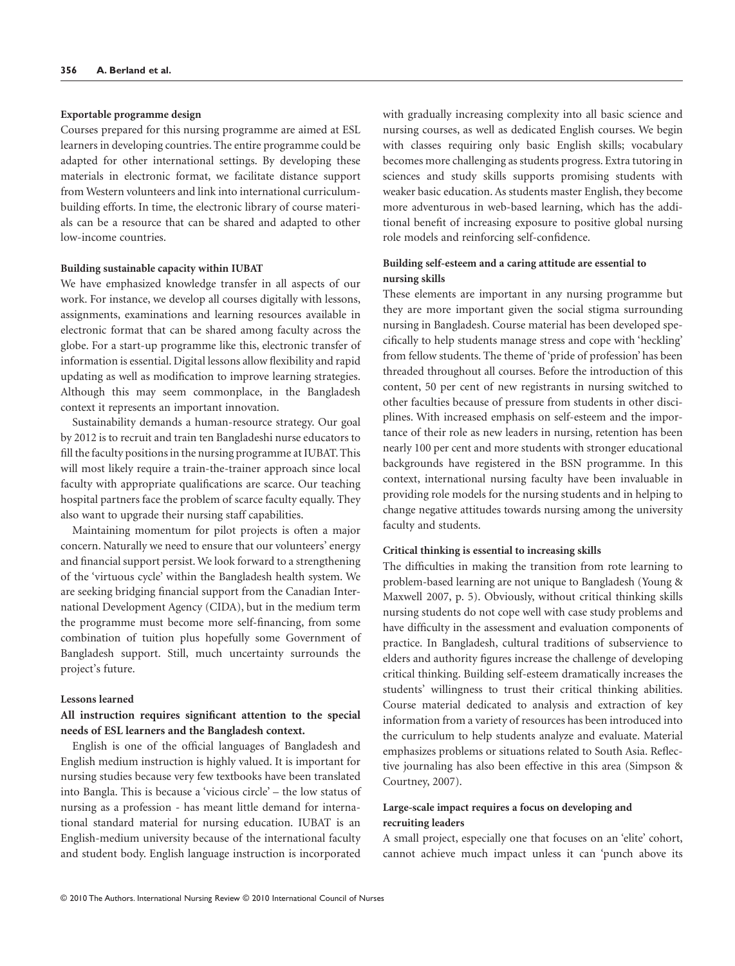#### **Exportable programme design**

Courses prepared for this nursing programme are aimed at ESL learners in developing countries. The entire programme could be adapted for other international settings. By developing these materials in electronic format, we facilitate distance support from Western volunteers and link into international curriculumbuilding efforts. In time, the electronic library of course materials can be a resource that can be shared and adapted to other low-income countries.

#### **Building sustainable capacity within IUBAT**

We have emphasized knowledge transfer in all aspects of our work. For instance, we develop all courses digitally with lessons, assignments, examinations and learning resources available in electronic format that can be shared among faculty across the globe. For a start-up programme like this, electronic transfer of information is essential. Digital lessons allow flexibility and rapid updating as well as modification to improve learning strategies. Although this may seem commonplace, in the Bangladesh context it represents an important innovation.

Sustainability demands a human-resource strategy. Our goal by 2012 is to recruit and train ten Bangladeshi nurse educators to fill the faculty positions in the nursing programme at IUBAT. This will most likely require a train-the-trainer approach since local faculty with appropriate qualifications are scarce. Our teaching hospital partners face the problem of scarce faculty equally. They also want to upgrade their nursing staff capabilities.

Maintaining momentum for pilot projects is often a major concern. Naturally we need to ensure that our volunteers' energy and financial support persist. We look forward to a strengthening of the 'virtuous cycle' within the Bangladesh health system. We are seeking bridging financial support from the Canadian International Development Agency (CIDA), but in the medium term the programme must become more self-financing, from some combination of tuition plus hopefully some Government of Bangladesh support. Still, much uncertainty surrounds the project's future.

#### **Lessons learned**

## **All instruction requires significant attention to the special needs of ESL learners and the Bangladesh context.**

English is one of the official languages of Bangladesh and English medium instruction is highly valued. It is important for nursing studies because very few textbooks have been translated into Bangla. This is because a 'vicious circle' – the low status of nursing as a profession - has meant little demand for international standard material for nursing education. IUBAT is an English-medium university because of the international faculty and student body. English language instruction is incorporated with gradually increasing complexity into all basic science and nursing courses, as well as dedicated English courses. We begin with classes requiring only basic English skills; vocabulary becomes more challenging as students progress. Extra tutoring in sciences and study skills supports promising students with weaker basic education. As students master English, they become more adventurous in web-based learning, which has the additional benefit of increasing exposure to positive global nursing role models and reinforcing self-confidence.

## **Building self-esteem and a caring attitude are essential to nursing skills**

These elements are important in any nursing programme but they are more important given the social stigma surrounding nursing in Bangladesh. Course material has been developed specifically to help students manage stress and cope with 'heckling' from fellow students. The theme of 'pride of profession' has been threaded throughout all courses. Before the introduction of this content, 50 per cent of new registrants in nursing switched to other faculties because of pressure from students in other disciplines. With increased emphasis on self-esteem and the importance of their role as new leaders in nursing, retention has been nearly 100 per cent and more students with stronger educational backgrounds have registered in the BSN programme. In this context, international nursing faculty have been invaluable in providing role models for the nursing students and in helping to change negative attitudes towards nursing among the university faculty and students.

## **Critical thinking is essential to increasing skills**

The difficulties in making the transition from rote learning to problem-based learning are not unique to Bangladesh (Young & Maxwell 2007, p. 5). Obviously, without critical thinking skills nursing students do not cope well with case study problems and have difficulty in the assessment and evaluation components of practice. In Bangladesh, cultural traditions of subservience to elders and authority figures increase the challenge of developing critical thinking. Building self-esteem dramatically increases the students' willingness to trust their critical thinking abilities. Course material dedicated to analysis and extraction of key information from a variety of resources has been introduced into the curriculum to help students analyze and evaluate. Material emphasizes problems or situations related to South Asia. Reflective journaling has also been effective in this area (Simpson & Courtney, 2007).

## **Large-scale impact requires a focus on developing and recruiting leaders**

A small project, especially one that focuses on an 'elite' cohort, cannot achieve much impact unless it can 'punch above its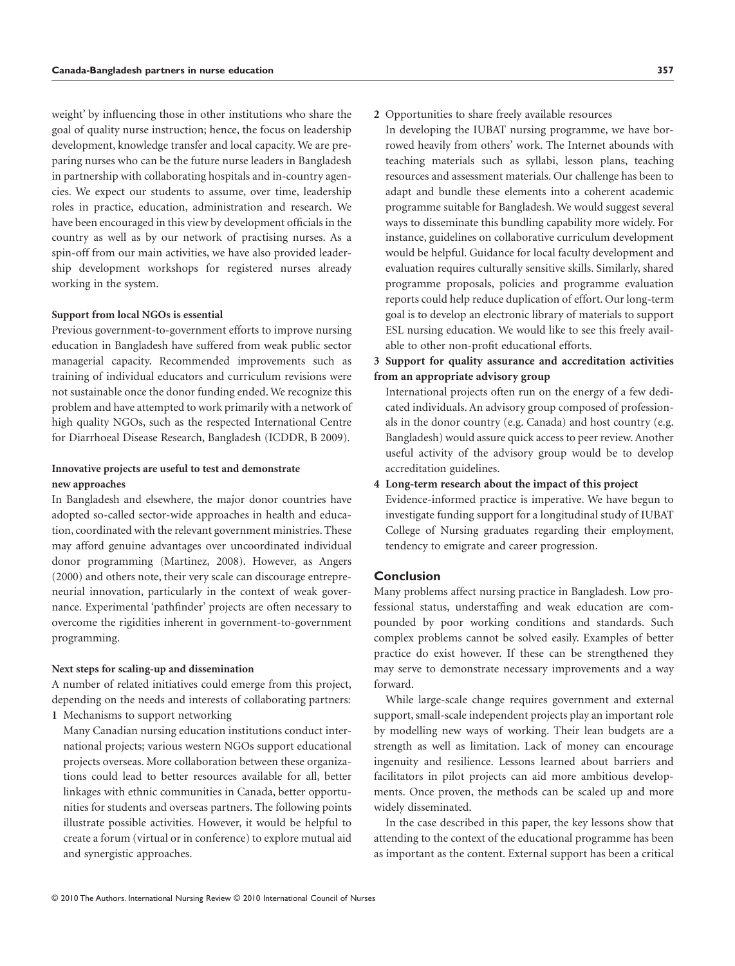weight' by influencing those in other institutions who share the goal of quality nurse instruction; hence, the focus on leadership development, knowledge transfer and local capacity. We are preparing nurses who can be the future nurse leaders in Bangladesh in partnership with collaborating hospitals and in-country agencies. We expect our students to assume, over time, leadership roles in practice, education, administration and research. We have been encouraged in this view by development officials in the country as well as by our network of practising nurses. As a spin-off from our main activities, we have also provided leadership development workshops for registered nurses already working in the system.

#### **Support from local NGOs is essential**

Previous government-to-government efforts to improve nursing education in Bangladesh have suffered from weak public sector managerial capacity. Recommended improvements such as training of individual educators and curriculum revisions were not sustainable once the donor funding ended. We recognize this problem and have attempted to work primarily with a network of high quality NGOs, such as the respected International Centre for Diarrhoeal Disease Research, Bangladesh (ICDDR, B 2009).

## **Innovative projects are useful to test and demonstrate new approaches**

In Bangladesh and elsewhere, the major donor countries have adopted so-called sector-wide approaches in health and education, coordinated with the relevant government ministries. These may afford genuine advantages over uncoordinated individual donor programming (Martinez, 2008). However, as Angers (2000) and others note, their very scale can discourage entrepreneurial innovation, particularly in the context of weak governance. Experimental 'pathfinder' projects are often necessary to overcome the rigidities inherent in government-to-government programming.

#### **Next steps for scaling-up and dissemination**

A number of related initiatives could emerge from this project, depending on the needs and interests of collaborating partners:

**1** Mechanisms to support networking

Many Canadian nursing education institutions conduct international projects; various western NGOs support educational projects overseas. More collaboration between these organizations could lead to better resources available for all, better linkages with ethnic communities in Canada, better opportunities for students and overseas partners. The following points illustrate possible activities. However, it would be helpful to create a forum (virtual or in conference) to explore mutual aid and synergistic approaches.

### **2** Opportunities to share freely available resources

In developing the IUBAT nursing programme, we have borrowed heavily from others' work. The Internet abounds with teaching materials such as syllabi, lesson plans, teaching resources and assessment materials. Our challenge has been to adapt and bundle these elements into a coherent academic programme suitable for Bangladesh. We would suggest several ways to disseminate this bundling capability more widely. For instance, guidelines on collaborative curriculum development would be helpful. Guidance for local faculty development and evaluation requires culturally sensitive skills. Similarly, shared programme proposals, policies and programme evaluation reports could help reduce duplication of effort. Our long-term goal is to develop an electronic library of materials to support ESL nursing education. We would like to see this freely available to other non-profit educational efforts.

## **3 Support for quality assurance and accreditation activities from an appropriate advisory group**

International projects often run on the energy of a few dedicated individuals. An advisory group composed of professionals in the donor country (e.g. Canada) and host country (e.g. Bangladesh) would assure quick access to peer review. Another useful activity of the advisory group would be to develop accreditation guidelines.

**4 Long-term research about the impact of this project**

Evidence-informed practice is imperative. We have begun to investigate funding support for a longitudinal study of IUBAT College of Nursing graduates regarding their employment, tendency to emigrate and career progression.

#### **Conclusion**

Many problems affect nursing practice in Bangladesh. Low professional status, understaffing and weak education are compounded by poor working conditions and standards. Such complex problems cannot be solved easily. Examples of better practice do exist however. If these can be strengthened they may serve to demonstrate necessary improvements and a way forward.

While large-scale change requires government and external support, small-scale independent projects play an important role by modelling new ways of working. Their lean budgets are a strength as well as limitation. Lack of money can encourage ingenuity and resilience. Lessons learned about barriers and facilitators in pilot projects can aid more ambitious developments. Once proven, the methods can be scaled up and more widely disseminated.

In the case described in this paper, the key lessons show that attending to the context of the educational programme has been as important as the content. External support has been a critical